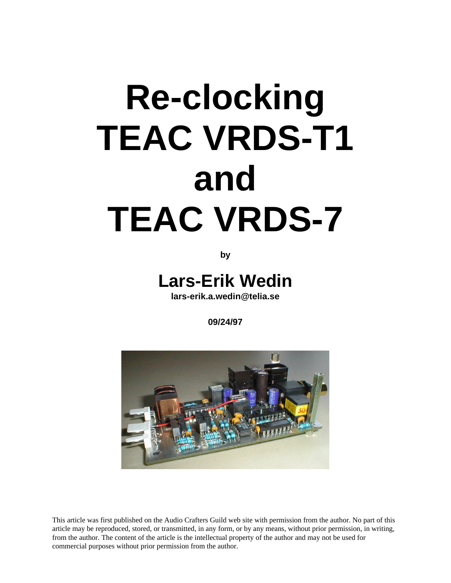# **Re-clocking TEAC VRDS-T1 and TEAC VRDS-7**

**by**

**Lars-Erik Wedin**

**lars-erik.a.wedin@telia.se**

**09/24/97**



This article was first published on the Audio Crafters Guild web site with permission from the author. No part of this article may be reproduced, stored, or transmitted, in any form, or by any means, without prior permission, in writing, from the author. The content of the article is the intellectual property of the author and may not be used for commercial purposes without prior permission from the author.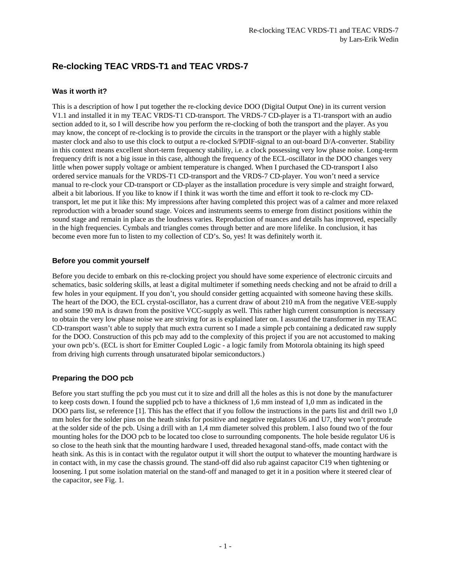# **Re-clocking TEAC VRDS-T1 and TEAC VRDS-7**

# **Was it worth it?**

This is a description of how I put together the re-clocking device DOO (Digital Output One) in its current version V1.1 and installed it in my TEAC VRDS-T1 CD-transport. The VRDS-7 CD-player is a T1-transport with an audio section added to it, so I will describe how you perform the re-clocking of both the transport and the player. As you may know, the concept of re-clocking is to provide the circuits in the transport or the player with a highly stable master clock and also to use this clock to output a re-clocked S/PDIF-signal to an out-board D/A-converter. Stability in this context means excellent short-term frequency stability, i.e. a clock possessing very low phase noise. Long-term frequency drift is not a big issue in this case, although the frequency of the ECL-oscillator in the DOO changes very little when power supply voltage or ambient temperature is changed. When I purchased the CD-transport I also ordered service manuals for the VRDS-T1 CD-transport and the VRDS-7 CD-player. You won't need a service manual to re-clock your CD-transport or CD-player as the installation procedure is very simple and straight forward, albeit a bit laborious. If you like to know if I think it was worth the time and effort it took to re-clock my CDtransport, let me put it like this: My impressions after having completed this project was of a calmer and more relaxed reproduction with a broader sound stage. Voices and instruments seems to emerge from distinct positions within the sound stage and remain in place as the loudness varies. Reproduction of nuances and details has improved, especially in the high frequencies. Cymbals and triangles comes through better and are more lifelike. In conclusion, it has become even more fun to listen to my collection of CD's. So, yes! It was definitely worth it.

# **Before you commit yourself**

Before you decide to embark on this re-clocking project you should have some experience of electronic circuits and schematics, basic soldering skills, at least a digital multimeter if something needs checking and not be afraid to drill a few holes in your equipment. If you don't, you should consider getting acquainted with someone having these skills. The heart of the DOO, the ECL crystal-oscillator, has a current draw of about 210 mA from the negative VEE-supply and some 190 mA is drawn from the positive VCC-supply as well. This rather high current consumption is necessary to obtain the very low phase noise we are striving for as is explained later on. I assumed the transformer in my TEAC CD-transport wasn't able to supply that much extra current so I made a simple pcb containing a dedicated raw supply for the DOO. Construction of this pcb may add to the complexity of this project if you are not accustomed to making your own pcb's. (ECL is short for Emitter Coupled Logic - a logic family from Motorola obtaining its high speed from driving high currents through unsaturated bipolar semiconductors.)

# **Preparing the DOO pcb**

Before you start stuffing the pcb you must cut it to size and drill all the holes as this is not done by the manufacturer to keep costs down. I found the supplied pcb to have a thickness of 1,6 mm instead of 1,0 mm as indicated in the DOO parts list, se reference [1]. This has the effect that if you follow the instructions in the parts list and drill two 1,0 mm holes for the solder pins on the heath sinks for positive and negative regulators U6 and U7, they won't protrude at the solder side of the pcb. Using a drill with an 1,4 mm diameter solved this problem. I also found two of the four mounting holes for the DOO pcb to be located too close to surrounding components. The hole beside regulator U6 is so close to the heath sink that the mounting hardware I used, threaded hexagonal stand-offs, made contact with the heath sink. As this is in contact with the regulator output it will short the output to whatever the mounting hardware is in contact with, in my case the chassis ground. The stand-off did also rub against capacitor C19 when tightening or loosening. I put some isolation material on the stand-off and managed to get it in a position where it steered clear of the capacitor, see Fig. 1.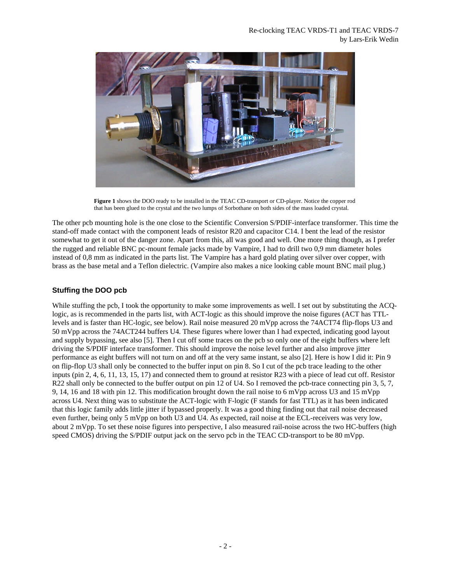

**Figure 1** shows the DOO ready to be installed in the TEAC CD-transport or CD-player. Notice the copper rod that has been glued to the crystal and the two lumps of Sorbothane on both sides of the mass loaded crystal.

The other pcb mounting hole is the one close to the Scientific Conversion S/PDIF-interface transformer. This time the stand-off made contact with the component leads of resistor R20 and capacitor C14. I bent the lead of the resistor somewhat to get it out of the danger zone. Apart from this, all was good and well. One more thing though, as I prefer the rugged and reliable BNC pc-mount female jacks made by Vampire, I had to drill two 0,9 mm diameter holes instead of 0,8 mm as indicated in the parts list. The Vampire has a hard gold plating over silver over copper, with brass as the base metal and a Teflon dielectric. (Vampire also makes a nice looking cable mount BNC mail plug.)

# **Stuffing the DOO pcb**

While stuffing the pcb, I took the opportunity to make some improvements as well. I set out by substituting the ACQlogic, as is recommended in the parts list, with ACT-logic as this should improve the noise figures (ACT has TTLlevels and is faster than HC-logic, see below). Rail noise measured 20 mVpp across the 74ACT74 flip-flops U3 and 50 mVpp across the 74ACT244 buffers U4. These figures where lower than I had expected, indicating good layout and supply bypassing, see also [5]. Then I cut off some traces on the pcb so only one of the eight buffers where left driving the S/PDIF interface transformer. This should improve the noise level further and also improve jitter performance as eight buffers will not turn on and off at the very same instant, se also [2]. Here is how I did it: Pin 9 on flip-flop U3 shall only be connected to the buffer input on pin 8. So I cut of the pcb trace leading to the other inputs (pin 2, 4, 6, 11, 13, 15, 17) and connected them to ground at resistor R23 with a piece of lead cut off. Resistor R22 shall only be connected to the buffer output on pin 12 of U4. So I removed the pcb-trace connecting pin 3, 5, 7, 9, 14, 16 and 18 with pin 12. This modification brought down the rail noise to 6 mVpp across U3 and 15 mVpp across U4. Next thing was to substitute the ACT-logic with F-logic (F stands for fast TTL) as it has been indicated that this logic family adds little jitter if bypassed properly. It was a good thing finding out that rail noise decreased even further, being only 5 mVpp on both U3 and U4. As expected, rail noise at the ECL-receivers was very low, about 2 mVpp. To set these noise figures into perspective, I also measured rail-noise across the two HC-buffers (high speed CMOS) driving the S/PDIF output jack on the servo pcb in the TEAC CD-transport to be 80 mVpp.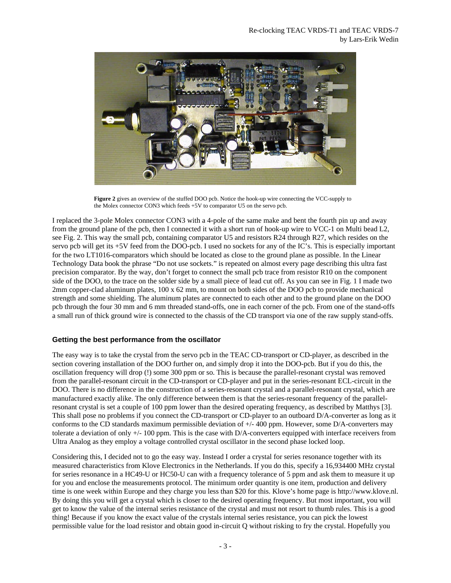

**Figure 2** gives an overview of the stuffed DOO pcb. Notice the hook-up wire connecting the VCC-supply to the Molex connector CON3 which feeds +5V to comparator U5 on the servo pcb.

I replaced the 3-pole Molex connector CON3 with a 4-pole of the same make and bent the fourth pin up and away from the ground plane of the pcb, then I connected it with a short run of hook-up wire to VCC-1 on Multi bead L2, see Fig. 2. This way the small pcb, containing comparator U5 and resistors R24 through R27, which resides on the servo pcb will get its +5V feed from the DOO-pcb. I used no sockets for any of the IC's. This is especially important for the two LT1016-comparators which should be located as close to the ground plane as possible. In the Linear Technology Data book the phrase "Do not use sockets." is repeated on almost every page describing this ultra fast precision comparator. By the way, don't forget to connect the small pcb trace from resistor R10 on the component side of the DOO, to the trace on the solder side by a small piece of lead cut off. As you can see in Fig. 1 I made two 2mm copper-clad aluminum plates, 100 x 62 mm, to mount on both sides of the DOO pcb to provide mechanical strength and some shielding. The aluminum plates are connected to each other and to the ground plane on the DOO pcb through the four 30 mm and 6 mm threaded stand-offs, one in each corner of the pcb. From one of the stand-offs a small run of thick ground wire is connected to the chassis of the CD transport via one of the raw supply stand-offs.

# **Getting the best performance from the oscillator**

The easy way is to take the crystal from the servo pcb in the TEAC CD-transport or CD-player, as described in the section covering installation of the DOO further on, and simply drop it into the DOO-pcb. But if you do this, the oscillation frequency will drop (!) some 300 ppm or so. This is because the parallel-resonant crystal was removed from the parallel-resonant circuit in the CD-transport or CD-player and put in the series-resonant ECL-circuit in the DOO. There is no difference in the construction of a series-resonant crystal and a parallel-resonant crystal, which are manufactured exactly alike. The only difference between them is that the series-resonant frequency of the parallelresonant crystal is set a couple of 100 ppm lower than the desired operating frequency, as described by Matthys [3]. This shall pose no problems if you connect the CD-transport or CD-player to an outboard D/A-converter as long as it conforms to the CD standards maximum permissible deviation of +/- 400 ppm. However, some D/A-converters may tolerate a deviation of only +/- 100 ppm. This is the case with D/A-converters equipped with interface receivers from Ultra Analog as they employ a voltage controlled crystal oscillator in the second phase locked loop.

Considering this, I decided not to go the easy way. Instead I order a crystal for series resonance together with its measured characteristics from Klove Electronics in the Netherlands. If you do this, specify a 16,934400 MHz crystal for series resonance in a HC49-U or HC50-U can with a frequency tolerance of 5 ppm and ask them to measure it up for you and enclose the measurements protocol. The minimum order quantity is one item, production and delivery time is one week within Europe and they charge you less than \$20 for this. Klove's home page is http://www.klove.nl. By doing this you will get a crystal which is closer to the desired operating frequency. But most important, you will get to know the value of the internal series resistance of the crystal and must not resort to thumb rules. This is a good thing! Because if you know the exact value of the crystals internal series resistance, you can pick the lowest permissible value for the load resistor and obtain good in-circuit Q without risking to fry the crystal. Hopefully you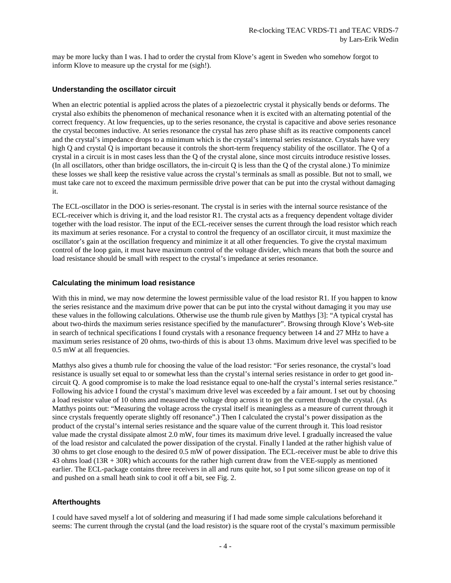may be more lucky than I was. I had to order the crystal from Klove's agent in Sweden who somehow forgot to inform Klove to measure up the crystal for me (sigh!).

#### **Understanding the oscillator circuit**

When an electric potential is applied across the plates of a piezoelectric crystal it physically bends or deforms. The crystal also exhibits the phenomenon of mechanical resonance when it is excited with an alternating potential of the correct frequency. At low frequencies, up to the series resonance, the crystal is capacitive and above series resonance the crystal becomes inductive. At series resonance the crystal has zero phase shift as its reactive components cancel and the crystal's impedance drops to a minimum which is the crystal's internal series resistance. Crystals have very high Q and crystal Q is important because it controls the short-term frequency stability of the oscillator. The Q of a crystal in a circuit is in most cases less than the Q of the crystal alone, since most circuits introduce resistive losses. (In all oscillators, other than bridge oscillators, the in-circuit Q is less than the Q of the crystal alone.) To minimize these losses we shall keep the resistive value across the crystal's terminals as small as possible. But not to small, we must take care not to exceed the maximum permissible drive power that can be put into the crystal without damaging it.

The ECL-oscillator in the DOO is series-resonant. The crystal is in series with the internal source resistance of the ECL-receiver which is driving it, and the load resistor R1. The crystal acts as a frequency dependent voltage divider together with the load resistor. The input of the ECL-receiver senses the current through the load resistor which reach its maximum at series resonance. For a crystal to control the frequency of an oscillator circuit, it must maximize the oscillator's gain at the oscillation frequency and minimize it at all other frequencies. To give the crystal maximum control of the loop gain, it must have maximum control of the voltage divider, which means that both the source and load resistance should be small with respect to the crystal's impedance at series resonance.

#### **Calculating the minimum load resistance**

With this in mind, we may now determine the lowest permissible value of the load resistor R1. If you happen to know the series resistance and the maximum drive power that can be put into the crystal without damaging it you may use these values in the following calculations. Otherwise use the thumb rule given by Matthys [3]: "A typical crystal has about two-thirds the maximum series resistance specified by the manufacturer". Browsing through Klove's Web-site in search of technical specifications I found crystals with a resonance frequency between 14 and 27 MHz to have a maximum series resistance of 20 ohms, two-thirds of this is about 13 ohms. Maximum drive level was specified to be 0.5 mW at all frequencies.

Matthys also gives a thumb rule for choosing the value of the load resistor: "For series resonance, the crystal's load resistance is usually set equal to or somewhat less than the crystal's internal series resistance in order to get good incircuit Q. A good compromise is to make the load resistance equal to one-half the crystal's internal series resistance." Following his advice I found the crystal's maximum drive level was exceeded by a fair amount. I set out by choosing a load resistor value of 10 ohms and measured the voltage drop across it to get the current through the crystal. (As Matthys points out: "Measuring the voltage across the crystal itself is meaningless as a measure of current through it since crystals frequently operate slightly off resonance".) Then I calculated the crystal's power dissipation as the product of the crystal's internal series resistance and the square value of the current through it. This load resistor value made the crystal dissipate almost 2.0 mW, four times its maximum drive level. I gradually increased the value of the load resistor and calculated the power dissipation of the crystal. Finally I landed at the rather highish value of 30 ohms to get close enough to the desired 0.5 mW of power dissipation. The ECL-receiver must be able to drive this 43 ohms load (13R + 30R) which accounts for the rather high current draw from the VEE-supply as mentioned earlier. The ECL-package contains three receivers in all and runs quite hot, so I put some silicon grease on top of it and pushed on a small heath sink to cool it off a bit, see Fig. 2.

# **Afterthoughts**

I could have saved myself a lot of soldering and measuring if I had made some simple calculations beforehand it seems: The current through the crystal (and the load resistor) is the square root of the crystal's maximum permissible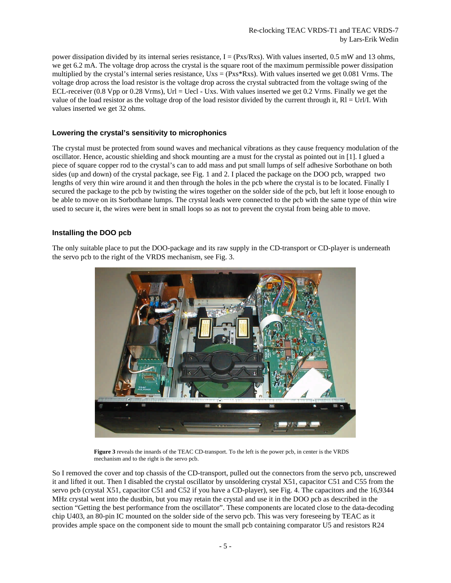power dissipation divided by its internal series resistance,  $I = (Pxs/Rxs)$ . With values inserted, 0.5 mW and 13 ohms, we get 6.2 mA. The voltage drop across the crystal is the square root of the maximum permissible power dissipation multiplied by the crystal's internal series resistance,  $Uxs = (Px<sup>*</sup>Rxs)$ . With values inserted we get 0.081 Vrms. The voltage drop across the load resistor is the voltage drop across the crystal subtracted from the voltage swing of the ECL-receiver (0.8 Vpp or 0.28 Vrms), Url = Uecl - Uxs. With values inserted we get 0.2 Vrms. Finally we get the value of the load resistor as the voltage drop of the load resistor divided by the current through it,  $Rl = Ur/M$ . With values inserted we get 32 ohms.

#### **Lowering the crystal's sensitivity to microphonics**

The crystal must be protected from sound waves and mechanical vibrations as they cause frequency modulation of the oscillator. Hence, acoustic shielding and shock mounting are a must for the crystal as pointed out in [1]. I glued a piece of square copper rod to the crystal's can to add mass and put small lumps of self adhesive Sorbothane on both sides (up and down) of the crystal package, see Fig. 1 and 2. I placed the package on the DOO pcb, wrapped two lengths of very thin wire around it and then through the holes in the pcb where the crystal is to be located. Finally I secured the package to the pcb by twisting the wires together on the solder side of the pcb, but left it loose enough to be able to move on its Sorbothane lumps. The crystal leads were connected to the pcb with the same type of thin wire used to secure it, the wires were bent in small loops so as not to prevent the crystal from being able to move.

# **Installing the DOO pcb**

The only suitable place to put the DOO-package and its raw supply in the CD-transport or CD-player is underneath the servo pcb to the right of the VRDS mechanism, see Fig. 3.



**Figure 3** reveals the innards of the TEAC CD-transport. To the left is the power pcb, in center is the VRDS mechanism and to the right is the servo pcb.

So I removed the cover and top chassis of the CD-transport, pulled out the connectors from the servo pcb, unscrewed it and lifted it out. Then I disabled the crystal oscillator by unsoldering crystal X51, capacitor C51 and C55 from the servo pcb (crystal X51, capacitor C51 and C52 if you have a CD-player), see Fig. 4. The capacitors and the 16,9344 MHz crystal went into the dustbin, but you may retain the crystal and use it in the DOO pcb as described in the section "Getting the best performance from the oscillator". These components are located close to the data-decoding chip U403, an 80-pin IC mounted on the solder side of the servo pcb. This was very foreseeing by TEAC as it provides ample space on the component side to mount the small pcb containing comparator U5 and resistors R24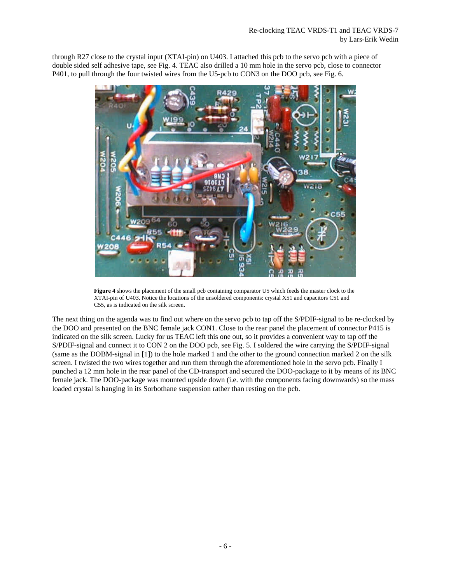through R27 close to the crystal input (XTAI-pin) on U403. I attached this pcb to the servo pcb with a piece of double sided self adhesive tape, see Fig. 4. TEAC also drilled a 10 mm hole in the servo pcb, close to connector P401, to pull through the four twisted wires from the U5-pcb to CON3 on the DOO pcb, see Fig. 6.



**Figure 4** shows the placement of the small pcb containing comparator U5 which feeds the master clock to the XTAI-pin of U403. Notice the locations of the unsoldered components: crystal X51 and capacitors C51 and C55, as is indicated on the silk screen.

The next thing on the agenda was to find out where on the servo pcb to tap off the S/PDIF-signal to be re-clocked by the DOO and presented on the BNC female jack CON1. Close to the rear panel the placement of connector P415 is indicated on the silk screen. Lucky for us TEAC left this one out, so it provides a convenient way to tap off the S/PDIF-signal and connect it to CON 2 on the DOO pcb, see Fig. 5. I soldered the wire carrying the S/PDIF-signal (same as the DOBM-signal in [1]) to the hole marked 1 and the other to the ground connection marked 2 on the silk screen. I twisted the two wires together and run them through the aforementioned hole in the servo pcb. Finally I punched a 12 mm hole in the rear panel of the CD-transport and secured the DOO-package to it by means of its BNC female jack. The DOO-package was mounted upside down (i.e. with the components facing downwards) so the mass loaded crystal is hanging in its Sorbothane suspension rather than resting on the pcb.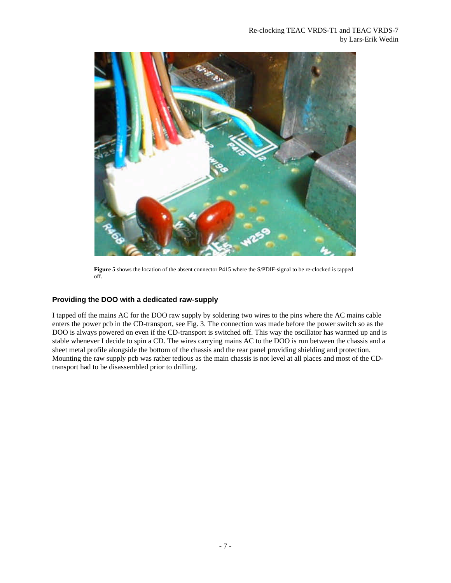

**Figure 5** shows the location of the absent connector P415 where the S/PDIF-signal to be re-clocked is tapped off.

# **Providing the DOO with a dedicated raw-supply**

I tapped off the mains AC for the DOO raw supply by soldering two wires to the pins where the AC mains cable enters the power pcb in the CD-transport, see Fig. 3. The connection was made before the power switch so as the DOO is always powered on even if the CD-transport is switched off. This way the oscillator has warmed up and is stable whenever I decide to spin a CD. The wires carrying mains AC to the DOO is run between the chassis and a sheet metal profile alongside the bottom of the chassis and the rear panel providing shielding and protection. Mounting the raw supply pcb was rather tedious as the main chassis is not level at all places and most of the CDtransport had to be disassembled prior to drilling.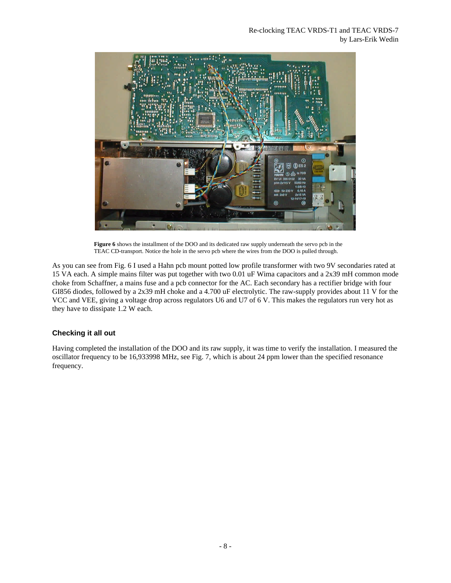

**Figure 6** shows the installment of the DOO and its dedicated raw supply underneath the servo pcb in the TEAC CD-transport. Notice the hole in the servo pcb where the wires from the DOO is pulled through.

As you can see from Fig. 6 I used a Hahn pcb mount potted low profile transformer with two 9V secondaries rated at 15 VA each. A simple mains filter was put together with two 0.01 uF Wima capacitors and a 2x39 mH common mode choke from Schaffner, a mains fuse and a pcb connector for the AC. Each secondary has a rectifier bridge with four GI856 diodes, followed by a 2x39 mH choke and a 4.700 uF electrolytic. The raw-supply provides about 11 V for the VCC and VEE, giving a voltage drop across regulators U6 and U7 of 6 V. This makes the regulators run very hot as they have to dissipate 1.2 W each.

# **Checking it all out**

Having completed the installation of the DOO and its raw supply, it was time to verify the installation. I measured the oscillator frequency to be 16,933998 MHz, see Fig. 7, which is about 24 ppm lower than the specified resonance frequency.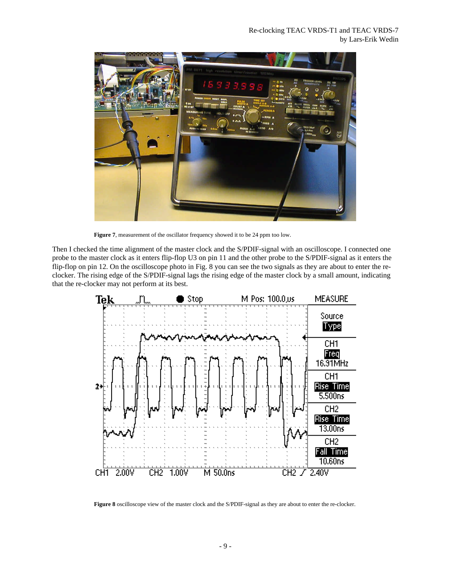

**Figure 7**, measurement of the oscillator frequency showed it to be 24 ppm too low.

Then I checked the time alignment of the master clock and the S/PDIF-signal with an oscilloscope. I connected one probe to the master clock as it enters flip-flop U3 on pin 11 and the other probe to the S/PDIF-signal as it enters the flip-flop on pin 12. On the oscilloscope photo in Fig. 8 you can see the two signals as they are about to enter the reclocker. The rising edge of the S/PDIF-signal lags the rising edge of the master clock by a small amount, indicating that the re-clocker may not perform at its best.



**Figure 8** oscilloscope view of the master clock and the S/PDIF-signal as they are about to enter the re-clocker.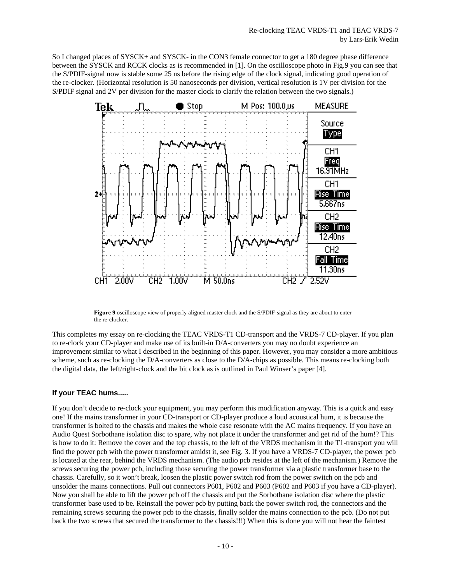So I changed places of SYSCK+ and SYSCK- in the CON3 female connector to get a 180 degree phase difference between the SYSCK and RCCK clocks as is recommended in [1]. On the oscilloscope photo in Fig.9 you can see that the S/PDIF-signal now is stable some 25 ns before the rising edge of the clock signal, indicating good operation of the re-clocker. (Horizontal resolution is 50 nanoseconds per division, vertical resolution is 1V per division for the S/PDIF signal and 2V per division for the master clock to clarify the relation between the two signals.)



**Figure 9** oscilloscope view of properly aligned master clock and the S/PDIF-signal as they are about to enter the re-clocker.

This completes my essay on re-clocking the TEAC VRDS-T1 CD-transport and the VRDS-7 CD-player. If you plan to re-clock your CD-player and make use of its built-in D/A-converters you may no doubt experience an improvement similar to what I described in the beginning of this paper. However, you may consider a more ambitious scheme, such as re-clocking the D/A-converters as close to the D/A-chips as possible. This means re-clocking both the digital data, the left/right-clock and the bit clock as is outlined in Paul Winser's paper [4].

# **If your TEAC hums.....**

If you don't decide to re-clock your equipment, you may perform this modification anyway. This is a quick and easy one! If the mains transformer in your CD-transport or CD-player produce a loud acoustical hum, it is because the transformer is bolted to the chassis and makes the whole case resonate with the AC mains frequency. If you have an Audio Quest Sorbothane isolation disc to spare, why not place it under the transformer and get rid of the hum!? This is how to do it: Remove the cover and the top chassis, to the left of the VRDS mechanism in the T1-transport you will find the power pcb with the power transformer amidst it, see Fig. 3. If you have a VRDS-7 CD-player, the power pcb is located at the rear, behind the VRDS mechanism. (The audio pcb resides at the left of the mechanism.) Remove the screws securing the power pcb, including those securing the power transformer via a plastic transformer base to the chassis. Carefully, so it won't break, loosen the plastic power switch rod from the power switch on the pcb and unsolder the mains connections. Pull out connectors P601, P602 and P603 (P602 and P603 if you have a CD-player). Now you shall be able to lift the power pcb off the chassis and put the Sorbothane isolation disc where the plastic transformer base used to be. Reinstall the power pcb by putting back the power switch rod, the connectors and the remaining screws securing the power pcb to the chassis, finally solder the mains connection to the pcb. (Do not put back the two screws that secured the transformer to the chassis!!!) When this is done you will not hear the faintest